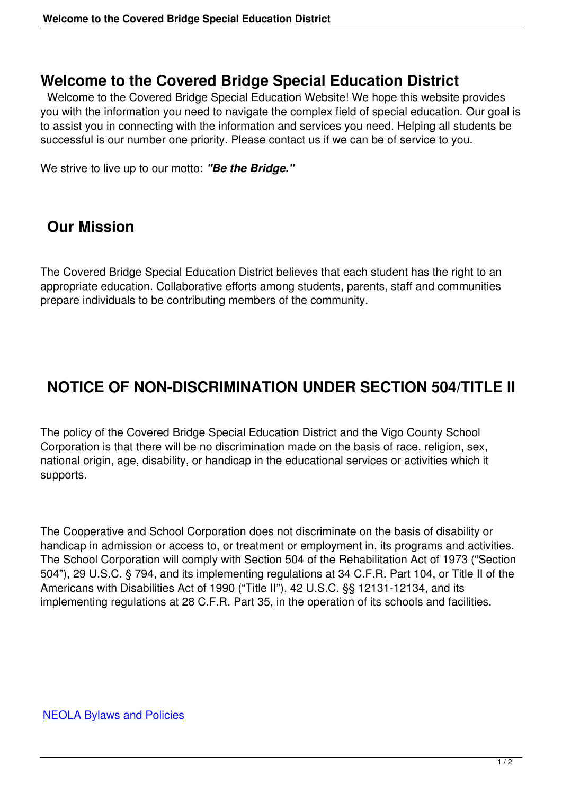## **Welcome to the Covered Bridge Special Education District**

 Welcome to the Covered Bridge Special Education Website! We hope this website provides you with the information you need to navigate the complex field of special education. Our goal is to assist you in connecting with the information and services you need. Helping all students be successful is our number one priority. Please contact us if we can be of service to you.

We strive to live up to our motto: *"Be the Bridge."* 

## **Our Mission**

The Covered Bridge Special Education District believes that each student has the right to an appropriate education. Collaborative efforts among students, parents, staff and communities prepare individuals to be contributing members of the community.

## **NOTICE OF NON-DISCRIMINATION UNDER SECTION 504/TITLE II**

The policy of the Covered Bridge Special Education District and the Vigo County School Corporation is that there will be no discrimination made on the basis of race, religion, sex, national origin, age, disability, or handicap in the educational services or activities which it supports.

The Cooperative and School Corporation does not discriminate on the basis of disability or handicap in admission or access to, or treatment or employment in, its programs and activities. The School Corporation will comply with Section 504 of the Rehabilitation Act of 1973 ("Section 504"), 29 U.S.C. § 794, and its implementing regulations at 34 C.F.R. Part 104, or Title II of the Americans with Disabilities Act of 1990 ("Title II"), 42 U.S.C. §§ 12131-12134, and its implementing regulations at 28 C.F.R. Part 35, in the operation of its schools and facilities.